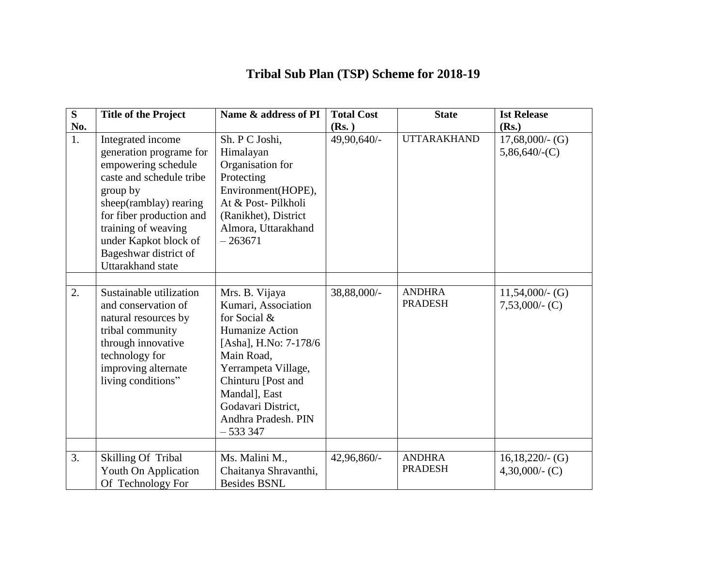## **Tribal Sub Plan (TSP) Scheme for 2018-19**

| S                | <b>Title of the Project</b>                                                                                                                                                                                                                                            | Name & address of PI                                                                                                                                                                                                                            | <b>Total Cost</b> | <b>State</b>                    | <b>Ist Release</b>                      |
|------------------|------------------------------------------------------------------------------------------------------------------------------------------------------------------------------------------------------------------------------------------------------------------------|-------------------------------------------------------------------------------------------------------------------------------------------------------------------------------------------------------------------------------------------------|-------------------|---------------------------------|-----------------------------------------|
| No.              |                                                                                                                                                                                                                                                                        |                                                                                                                                                                                                                                                 | (Rs.)             |                                 | (Rs.)                                   |
| 1.               | Integrated income<br>generation programe for<br>empowering schedule<br>caste and schedule tribe<br>group by<br>sheep(ramblay) rearing<br>for fiber production and<br>training of weaving<br>under Kapkot block of<br>Bageshwar district of<br><b>Uttarakhand</b> state | Sh. P C Joshi,<br>Himalayan<br>Organisation for<br>Protecting<br>Environment(HOPE),<br>At & Post-Pilkholi<br>(Ranikhet), District<br>Almora, Uttarakhand<br>$-263671$                                                                           | 49,90,640/-       | <b>UTTARAKHAND</b>              | $17,68,000/$ - (G)<br>$5,86,640/$ -(C)  |
| $\overline{2}$ . | Sustainable utilization<br>and conservation of<br>natural resources by<br>tribal community<br>through innovative<br>technology for<br>improving alternate<br>living conditions"                                                                                        | Mrs. B. Vijaya<br>Kumari, Association<br>for Social &<br><b>Humanize Action</b><br>[Asha], H.No: 7-178/6<br>Main Road,<br>Yerrampeta Village,<br>Chinturu [Post and<br>Mandal], East<br>Godavari District,<br>Andhra Pradesh. PIN<br>$-5333347$ | 38,88,000/-       | <b>ANDHRA</b><br><b>PRADESH</b> | $11,54,000/$ - (G)<br>$7,53,000/$ - (C) |
|                  |                                                                                                                                                                                                                                                                        |                                                                                                                                                                                                                                                 |                   |                                 |                                         |
| 3.               | <b>Skilling Of Tribal</b><br>Youth On Application<br>Of Technology For                                                                                                                                                                                                 | Ms. Malini M.,<br>Chaitanya Shravanthi,<br><b>Besides BSNL</b>                                                                                                                                                                                  | 42,96,860/-       | <b>ANDHRA</b><br><b>PRADESH</b> | $16,18,220/$ - (G)<br>4,30,000/- $(C)$  |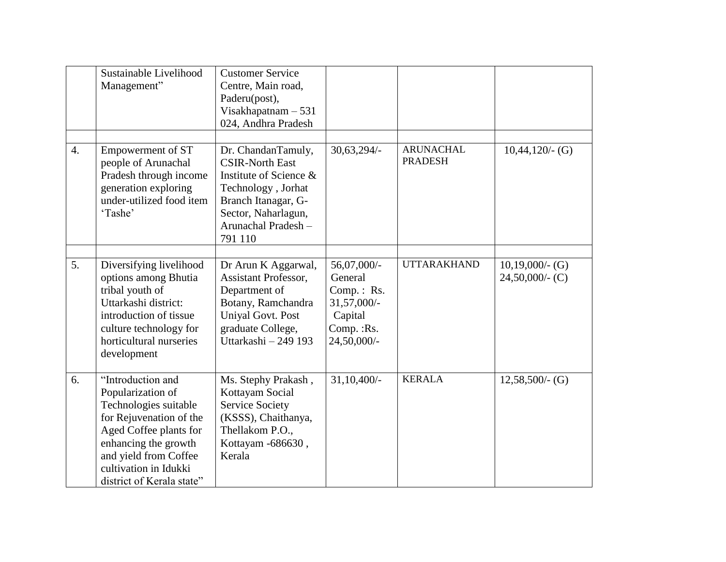|                  | Sustainable Livelihood<br>Management"                                                                                                                                                                                       | <b>Customer Service</b><br>Centre, Main road,<br>Paderu(post),<br>Visakhapatnam $-531$<br>024, Andhra Pradesh                                                               |                                                                                               |                                    |                                          |
|------------------|-----------------------------------------------------------------------------------------------------------------------------------------------------------------------------------------------------------------------------|-----------------------------------------------------------------------------------------------------------------------------------------------------------------------------|-----------------------------------------------------------------------------------------------|------------------------------------|------------------------------------------|
| $\overline{4}$ . | Empowerment of ST<br>people of Arunachal<br>Pradesh through income<br>generation exploring<br>under-utilized food item<br>'Tashe'                                                                                           | Dr. ChandanTamuly,<br><b>CSIR-North East</b><br>Institute of Science &<br>Technology, Jorhat<br>Branch Itanagar, G-<br>Sector, Naharlagun,<br>Arunachal Pradesh-<br>791 110 | $30,63,294/-$                                                                                 | <b>ARUNACHAL</b><br><b>PRADESH</b> | $10,44,120/$ - (G)                       |
| 5.               | Diversifying livelihood<br>options among Bhutia<br>tribal youth of<br>Uttarkashi district:<br>introduction of tissue<br>culture technology for<br>horticultural nurseries<br>development                                    | Dr Arun K Aggarwal,<br><b>Assistant Professor,</b><br>Department of<br>Botany, Ramchandra<br><b>Unival Govt. Post</b><br>graduate College,<br>Uttarkashi - 249 193          | 56,07,000/-<br>General<br>Comp.: Rs.<br>$31,57,000/-$<br>Capital<br>Comp.: Rs.<br>24,50,000/- | <b>UTTARAKHAND</b>                 | $10,19,000/$ - (G)<br>$24,50,000/$ - (C) |
| 6.               | "Introduction and<br>Popularization of<br>Technologies suitable<br>for Rejuvenation of the<br>Aged Coffee plants for<br>enhancing the growth<br>and yield from Coffee<br>cultivation in Idukki<br>district of Kerala state" | Ms. Stephy Prakash,<br>Kottayam Social<br><b>Service Society</b><br>(KSSS), Chaithanya,<br>Thellakom P.O.,<br>Kottayam -686630,<br>Kerala                                   | $31,10,400/-$                                                                                 | <b>KERALA</b>                      | $12,58,500/$ - (G)                       |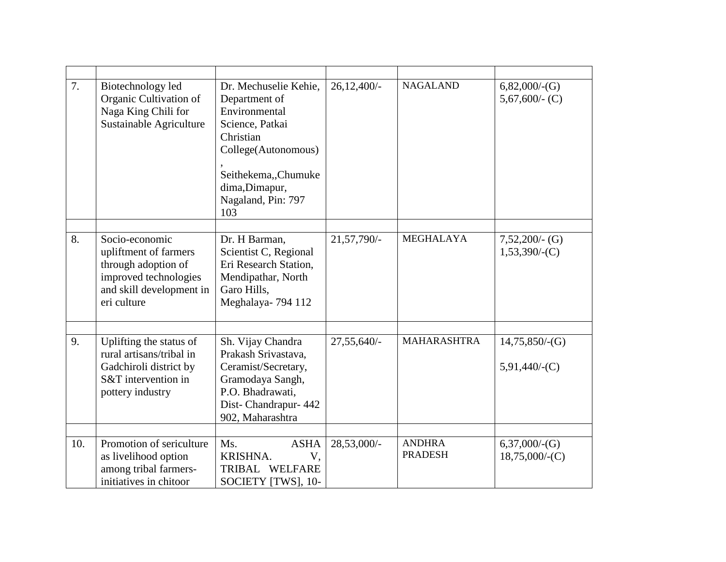| 7.  | Biotechnology led<br>Organic Cultivation of<br>Naga King Chili for<br>Sustainable Agriculture                                      | Dr. Mechuselie Kehie,<br>Department of<br>Environmental<br>Science, Patkai<br>Christian<br>College(Autonomous)<br>Seithekema,,Chumuke<br>dima, Dimapur,<br>Nagaland, Pin: 797<br>103 | $26,12,400/-$ | <b>NAGALAND</b>                 | $6,82,000/-(G)$<br>5,67,600/- $(C)$     |
|-----|------------------------------------------------------------------------------------------------------------------------------------|--------------------------------------------------------------------------------------------------------------------------------------------------------------------------------------|---------------|---------------------------------|-----------------------------------------|
| 8.  | Socio-economic<br>upliftment of farmers<br>through adoption of<br>improved technologies<br>and skill development in<br>eri culture | Dr. H Barman,<br>Scientist C, Regional<br>Eri Research Station,<br>Mendipathar, North<br>Garo Hills,<br>Meghalaya-794 112                                                            | 21,57,790/-   | <b>MEGHALAYA</b>                | $7,52,200/$ - (G)<br>$1,53,390/$ -(C)   |
| 9.  | Uplifting the status of<br>rural artisans/tribal in<br>Gadchiroli district by<br>S&T intervention in<br>pottery industry           | Sh. Vijay Chandra<br>Prakash Srivastava,<br>Ceramist/Secretary,<br>Gramodaya Sangh,<br>P.O. Bhadrawati,<br>Dist-Chandrapur- 442<br>902, Maharashtra                                  | $27,55,640/-$ | <b>MAHARASHTRA</b>              | 14,75,850/(G)<br>$5,91,440/$ -(C)       |
| 10. | Promotion of sericulture<br>as livelihood option<br>among tribal farmers-<br>initiatives in chitoor                                | <b>ASHA</b><br>Ms.<br>KRISHNA.<br>V,<br>TRIBAL WELFARE<br>SOCIETY [TWS], 10-                                                                                                         | 28,53,000/-   | <b>ANDHRA</b><br><b>PRADESH</b> | $6,37,000/$ - $(G)$<br>$18,75,000/-(C)$ |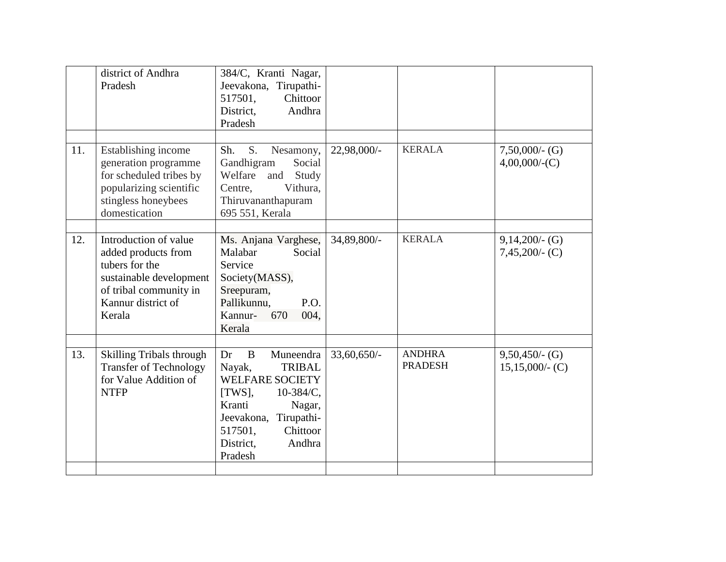|     | district of Andhra<br>Pradesh                                                                                                                       | 384/C, Kranti Nagar,<br>Jeevakona, Tirupathi-<br>517501,<br>Chittoor<br>Andhra<br>District,<br>Pradesh                                                                                                       |                |                                 |                                          |
|-----|-----------------------------------------------------------------------------------------------------------------------------------------------------|--------------------------------------------------------------------------------------------------------------------------------------------------------------------------------------------------------------|----------------|---------------------------------|------------------------------------------|
| 11. | Establishing income<br>generation programme<br>for scheduled tribes by<br>popularizing scientific<br>stingless honeybees<br>domestication           | S.<br>Sh.<br>Nesamony,<br>Social<br>Gandhigram<br>Welfare<br>and<br>Study<br>Vithura,<br>Centre,<br>Thiruvananthapuram<br>695 551, Kerala                                                                    | 22,98,000/-    | <b>KERALA</b>                   | $7,50,000/$ - (G)<br>$4,00,000/$ - $(C)$ |
| 12. | Introduction of value<br>added products from<br>tubers for the<br>sustainable development<br>of tribal community in<br>Kannur district of<br>Kerala | Ms. Anjana Varghese,<br>Malabar<br>Social<br>Service<br>Society(MASS),<br>Sreepuram,<br>Pallikunnu,<br>P.O.<br>Kannur-<br>670<br>004,<br>Kerala                                                              | 34,89,800/-    | <b>KERALA</b>                   | $9,14,200/$ - (G)<br>$7,45,200/$ - (C)   |
| 13. | <b>Skilling Tribals through</b><br><b>Transfer of Technology</b><br>for Value Addition of<br><b>NTFP</b>                                            | Dr<br>B<br>Muneendra<br><b>TRIBAL</b><br>Nayak,<br><b>WELFARE SOCIETY</b><br>[TWS],<br>$10-384/C$ ,<br>Kranti<br>Nagar,<br>Jeevakona,<br>Tirupathi-<br>Chittoor<br>517501,<br>District,<br>Andhra<br>Pradesh | $33,60,650/$ - | <b>ANDHRA</b><br><b>PRADESH</b> | $9,50,450/$ - (G)<br>$15,15,000/$ - (C)  |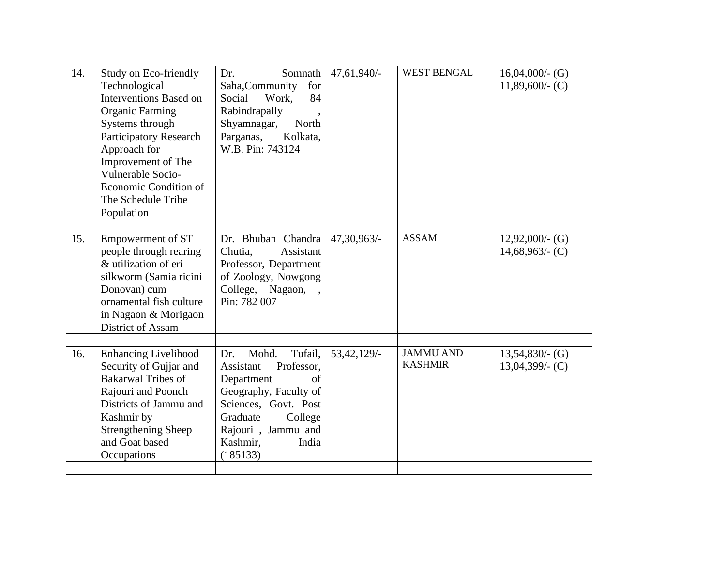| 14. | Study on Eco-friendly<br>Technological<br><b>Interventions Based on</b><br><b>Organic Farming</b><br>Systems through<br><b>Participatory Research</b><br>Approach for<br>Improvement of The<br>Vulnerable Socio-<br>Economic Condition of<br>The Schedule Tribe<br>Population | Somnath<br>Dr.<br>Saha, Community<br>for<br>Social<br>Work,<br>84<br>Rabindrapally<br>Shyamnagar,<br>North<br>Parganas,<br>Kolkata,<br>W.B. Pin: 743124                                                       | 47,61,940/-    | <b>WEST BENGAL</b>                 | $16,04,000/$ - (G)<br>$11,89,600/$ (C)   |
|-----|-------------------------------------------------------------------------------------------------------------------------------------------------------------------------------------------------------------------------------------------------------------------------------|---------------------------------------------------------------------------------------------------------------------------------------------------------------------------------------------------------------|----------------|------------------------------------|------------------------------------------|
| 15. | Empowerment of ST<br>people through rearing<br>& utilization of eri<br>silkworm (Samia ricini<br>Donovan) cum<br>ornamental fish culture<br>in Nagaon & Morigaon<br>District of Assam                                                                                         | Dr. Bhuban Chandra<br>Assistant<br>Chutia,<br>Professor, Department<br>of Zoology, Nowgong<br>College, Nagaon, ,<br>Pin: 782 007                                                                              | 47,30,963/-    | <b>ASSAM</b>                       | $12,92,000/$ - (G)<br>$14,68,963/$ - (C) |
| 16. | <b>Enhancing Livelihood</b><br>Security of Gujjar and<br><b>Bakarwal Tribes of</b><br>Rajouri and Poonch<br>Districts of Jammu and<br>Kashmir by<br><b>Strengthening Sheep</b><br>and Goat based<br>Occupations                                                               | Mohd.<br>Tufail,<br>Dr.<br>Professor,<br>Assistant<br>Department<br>$\sigma$ f<br>Geography, Faculty of<br>Sciences, Govt. Post<br>Graduate<br>College<br>Rajouri, Jammu and<br>Kashmir,<br>India<br>(185133) | $53,42,129/$ - | <b>JAMMU AND</b><br><b>KASHMIR</b> | $13,54,830/$ - (G)<br>$13,04,399/$ - (C) |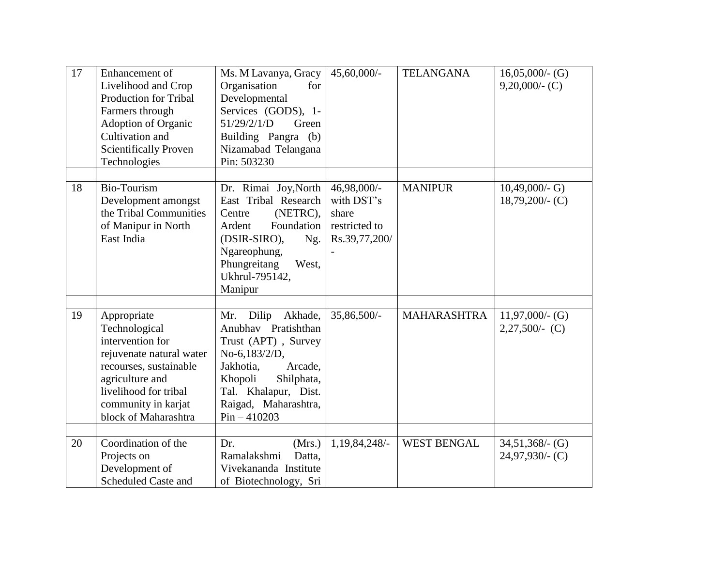| 17 | Enhancement of<br>Livelihood and Crop<br><b>Production for Tribal</b><br>Farmers through<br>Adoption of Organic<br>Cultivation and<br><b>Scientifically Proven</b><br>Technologies                | Ms. M Lavanya, Gracy<br>Organisation<br>for<br>Developmental<br>Services (GODS), 1-<br>51/29/2/1/D<br>Green<br>Building Pangra (b)<br>Nizamabad Telangana<br>Pin: 503230                                  | $45,60,000/$ -                                                       | <b>TELANGANA</b>   | $16,05,000/$ - (G)<br>$9,20,000/$ - (C)  |
|----|---------------------------------------------------------------------------------------------------------------------------------------------------------------------------------------------------|-----------------------------------------------------------------------------------------------------------------------------------------------------------------------------------------------------------|----------------------------------------------------------------------|--------------------|------------------------------------------|
| 18 | <b>Bio-Tourism</b><br>Development amongst<br>the Tribal Communities<br>of Manipur in North<br>East India                                                                                          | Dr. Rimai Joy, North<br>East Tribal Research<br>(NETRC),<br>Centre<br>Ardent<br>Foundation<br>(DSIR-SIRO),<br>Ng.<br>Ngareophung,<br>Phungreitang<br>West,<br>Ukhrul-795142,<br>Manipur                   | 46,98,000/-<br>with DST's<br>share<br>restricted to<br>Rs.39,77,200/ | <b>MANIPUR</b>     | $10,49,000/- G$<br>$18,79,200/$ - (C)    |
| 19 | Appropriate<br>Technological<br>intervention for<br>rejuvenate natural water<br>recourses, sustainable<br>agriculture and<br>livelihood for tribal<br>community in karjat<br>block of Maharashtra | Dilip<br>Akhade,<br>Mr.<br>Anubhav Pratishthan<br>Trust (APT), Survey<br>No-6,183/2/D,<br>Jakhotia,<br>Arcade,<br>Khopoli<br>Shilphata,<br>Tal. Khalapur, Dist.<br>Raigad, Maharashtra,<br>$Pin - 410203$ | 35,86,500/-                                                          | <b>MAHARASHTRA</b> | $11,97,000/$ - (G)<br>$2,27,500/(-C)$    |
| 20 | Coordination of the<br>Projects on<br>Development of<br><b>Scheduled Caste and</b>                                                                                                                | Dr.<br>(Mrs.)<br>Ramalakshmi<br>Datta,<br>Vivekananda Institute<br>of Biotechnology, Sri                                                                                                                  | 1,19,84,248/-                                                        | <b>WEST BENGAL</b> | $34,51,368/$ - (G)<br>$24,97,930/$ - (C) |